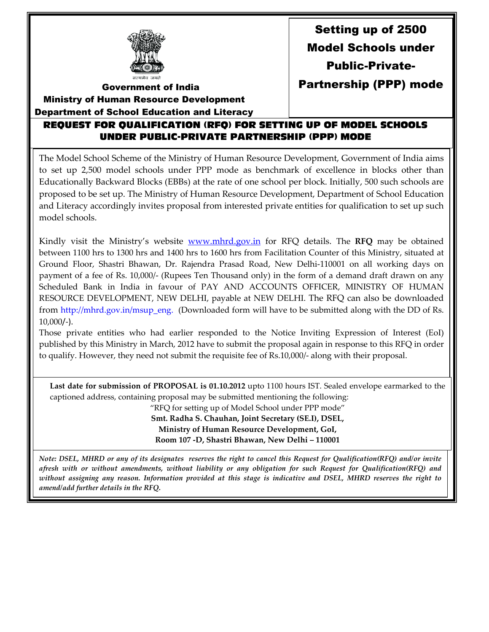

Setting up of 2500 Model Schools under Public-Private-Partnership (PPP) mode

Government of India

 Ministry of Human Resource Development Department of School Education and Literacy

I

## REQUEST FOR QUALIFICATION (RFQ) FOR SETTING UP OF MODEL SCHOOLS UNDER PUBLIC-PRIVATE PARTNERSHIP (PPP) MODE

The Model School Scheme of the Ministry of Human Resource Development, Government of India aims to set up 2,500 model schools under PPP mode as benchmark of excellence in blocks other than Educationally Backward Blocks (EBBs) at the rate of one school per block. Initially, 500 such schools are proposed to be set up. The Ministry of Human Resource Development, Department of School Education and Literacy accordingly invites proposal from interested private entities for qualification to set up such model schools.

Kindly visit the Ministry's website www.mhrd.gov.in for RFQ details. The RFQ may be obtained between 1100 hrs to 1300 hrs and 1400 hrs to 1600 hrs from Facilitation Counter of this Ministry, situated at Ground Floor, Shastri Bhawan, Dr. Rajendra Prasad Road, New Delhi-110001 on all working days on payment of a fee of Rs. 10,000/- (Rupees Ten Thousand only) in the form of a demand draft drawn on any Scheduled Bank in India in favour of PAY AND ACCOUNTS OFFICER, MINISTRY OF HUMAN RESOURCE DEVELOPMENT, NEW DELHI, payable at NEW DELHI. The RFQ can also be downloaded from http://mhrd.gov.in/msup\_eng. (Downloaded form will have to be submitted along with the DD of Rs. 10,000/-).

Those private entities who had earlier responded to the Notice Inviting Expression of Interest (EoI) published by this Ministry in March, 2012 have to submit the proposal again in response to this RFQ in order to qualify. However, they need not submit the requisite fee of Rs.10,000/- along with their proposal.

Last date for submission of PROPOSAL is 01.10.2012 upto 1100 hours IST. Sealed envelope earmarked to the captioned address, containing proposal may be submitted mentioning the following:

"RFQ for setting up of Model School under PPP mode" Smt. Radha S. Chauhan, Joint Secretary (SE.I), DSEL, Ministry of Human Resource Development, GoI, Room 107 -D, Shastri Bhawan, New Delhi – 110001

Note: DSEL, MHRD or any of its designates reserves the right to cancel this Request for Qualification(RFQ) and/or invite afresh with or without amendments, without liability or any obligation for such Request for Qualification(RFQ) and without assigning any reason. Information provided at this stage is indicative and DSEL, MHRD reserves the right to amend/add further details in the RFQ.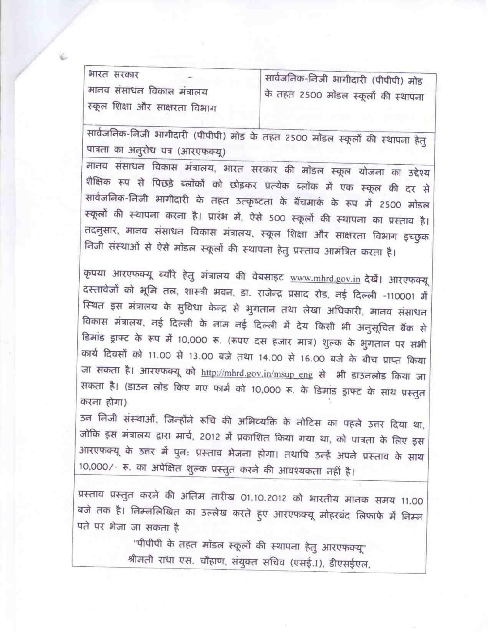भारत सरकार सार्वजनिक-निजी भागीदारी (पीपीपी) मोड मानव संसाधन विकास मंत्रालय के तहत 2500 मोंडल स्कूलों की स्थापना स्कूल शिक्षा और साक्षरता विभाग

सार्वजनिक-निजी भागीदारी (पीपीपी) मोड के तहत 2500 मोंडल स्कूलों की स्थापना हेतु पात्रता का अनुरोध पत्र (आरएफक्यू)

मानव संसाधन विकास मंत्रालय, भारत सरकार की मॉडल स्कूल योजना का उद्देश्य शैक्षिक रूप से पिछड़े ब्लॉकों को छोड़कर प्रत्येक ब्लॉक में एक स्कूल की दर से सार्वजनिक-निजी भागीदारी के तहत उत्कृष्टता के बैंचमार्क के रूप में 2500 मॉडल स्कूलों की स्थापना करना है। प्रारंभ में, ऐसे 500 स्कूलों की स्थापना का प्रस्ताव है। तदनुसार, मानव संसाधन विकास मंत्रालय, स्कूल शिक्षा और साक्षरता विभाग इच्छुक निजी संस्थाओं से ऐसे मॉडल स्कूलों की स्थापना हेतु प्रस्ताव आमंत्रित करता है।

कृपया आरएफक्यू ब्यौरे हेतु मंत्रालय की वेबसाइट www.mhrd.gov.in देखें। आरएफक्यू दस्तावेजों को भूमि तल, शास्त्री भवन, डा. राजेन्द्र प्रसाद रोड, नई दिल्ली -110001 में स्थित इस मंत्रालय के सुविधा केन्द्र से भुगतान तथा लेखा अधिकारी, मानव संसाधन विकास मंत्रालय, नई दिल्ली के नाम नई दिल्ली में देय किसी भी अनुसूचित बैंक से डिमांड ड्राफ्ट के रूप में 10,000 रू. (रूपए दस हजार मात्र) शुल्क के भुगतान पर सभी कार्य दिवसों को 11.00 से 13.00 बजे तथा 14.00 से 16.00 बजे के बीच प्राप्त किया जा सकता है। आरएफक्यू को http://mhrd.gov.in/msup\_eng से भी डाउनलोड किया जा सकता है। (डाउन लोड किए गए फार्म को 10,000 रू. के डिमांड ड्राफ्ट के साथ प्रस्तुत करना होगा)

उन निजी संस्थाओं, जिन्होंने रूचि की अभिव्यक्ति के नोटिस का पहले उत्तर दिया था, जोकि इस मंत्रालय द्वारा मार्च, 2012 में प्रकाशित किया गया था, को पात्रता के लिए इस आरएफक्यू के उत्तर में पुनः प्रस्ताव भेजना होगा। तथापि उन्हें अपने प्रस्ताव के साथ 10,000/- रू. का अपेक्षित शुल्क प्रस्तुत करने की आवश्यकता नहीं है।

प्रस्ताव प्रस्तुत करने की अंतिम तारीख 01.10.2012 को भारतीय मानक समय 11.00 बजे तक है। निम्नलिखित का उल्लेख करते हुए आरएफक्यू मोहरबंद लिफाफे में निम्न पते पर भेजा जा सकता है

> "पीपीपी के तहत मॉडल स्कूलों की स्थापना हेतु आरएफक्यू" श्रीमती राधा एस. चौहाण, संयुक्त सचिव (एसई.I), डीएसईएल,